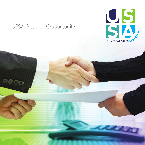### USSA Reseller Opportunity

 $\circledcirc$ 

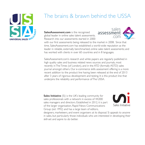

## The brains & brawn behind the USSA

**SalesAssessment.com** is the recognised global leader in online sales talent assessments. Research into our assessments started in 2000



with our first assessments being released to the market in 2008. Since that time, SalesAssessment.com has established a world-wide reputation as the leader in reliable, externally benchmarked, online sales talent assessments; and has worked with clients in over 60 countries and in 8 languages.

SalesAssessment.com's research and white papers are regularly published in high quality sales and business related news sources and journals, most recently inTheTimes (of London), and in the ATD (formally ASTD) sales journal amongst others. Our e-commerce skills assessment offering is a more recent addition to the product line having been released at the end of 2013 after 3 years of rigorous development and testing. It is this product line that underpins the reliability and performance ofThe USSA.

**Sales Initiative** (Si) is the UK's leading community for sales professionals with a network in excess of 44,000 sales managers and directors. Established in 2012, it is part of the larger organisation, Rapid News Communications Group (est 1992) and has a large team of editors,



designers, marketeers, and event organisers at its disposal. Si appeals to anyone in sales, but particularly those individuals who are interested in developing their skill-set and aspire to do better.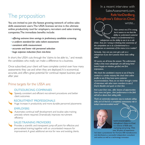# The proposition

You are invited to join the fastest growing network of online sales skills assessment users.The USSA licensee service is the ultimate online productivity tool for employers, recruiters and sales training companies.The immediate benefits include:

- *• offering extreme time savings in preliminary candidate screening*
- *• a uniform standard for sales talent assessment*
- *• consistent skills measurement*
- *• accurate and lower risk personnel selection*
- *• huge expense reduction from mis-hires*

In short, the USSA cuts through the 'claims to be able to...' and reveals the candidates who really can make a difference to a business.

Once subscribed, your client will have complete control over how many assessments they use and when they are deployed. It is economical, accurate, and offers great potential for continual repeat business year after year.

### Prime targets for the USSA are:



#### OUTSOURCING COMPANIES

Speedy, consistent and efficient recruitment procedures and better client outcomes

#### RECRUITMENT PROFESSIONALS

Huge increase in productivity and more durable personnel placements

#### **EMPLOYERS**

Automates continual staff development and localise sales training precisely where required. Dramatically improves recruitment efficiency

#### SALES TRAINING PROVIDERS

Provides a scientific and transparent jump-off point for effective and personalised training together with an uncontested measure for improvement.A great additional service for new and existing clients.

### In a recent interview with SalesAssessment.com, Rafe VanDenBerg, SellingBrew's Editor-in-Chief,



*Now correct me if I'm wrong, but it seems to me that the ability to understand customer needs is as fundamental to a*

wrote...

*salesperson as the ability to see is to a cab driver. And, am I wrong in thinking that awareness of the competitive set is as a fundamental to a salesperson as awareness of the menu is to a waiter?*

*Seriously... how can you even get a job as a salesperson if you don't possess these basic selling skills?*

*Of course, we all know the answer. The unfortunate reality is that most salespeople are still being hired based largely on intuition, gut-feel, and first impressions.*

*We check the candidate's resume to see if they've worked in a similar industry.We check their online profile to see if they have some customer recommendations.Next, we run them through a series of interviews with other team members to see if they're likeable and quick on their feet.*

*And a year from now... after dozens of opportunities have come and gone... their performance in the field will tell us about their selling skills.*

*That's an extremely expensive way to evaluate selling skills, isn't it? And it's a completely unnecessary risk in today's internet-enabled world."*



RAFEVANDENBERG, SellingBrew's Editor-in-Chief, is a veteran of B2B sales, marketing and pricing. With over 20 years of experience

he's been a practitioner for Fortune 500 manufacturers and distributors, a successful independent consultant and author, as well as a technology innovator.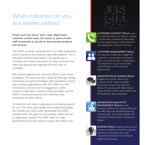# Which industries can you, as a reseller, address?

Pretty much any sector with a sales department, customer contact team, call centre, or point of sales staff incentivised to up-sell or demonstrate products and services.

The USSA currently comprises the Core Skills assessment which is aimed at the essential sales skills platform. The 5 individual modules (described in the panel) take a candidate from sales preparation to close. Licensees can select the appropriate segments for each class of candidate.

Recruitment agencies are using the USSA to pre-screen candidates.This reassures their clients of thorough vetting procedures and gives immediate skills transparency. Some sales training organisations offer the USSA as a free introductory service prior to engagement, whilst outsource sales teams and call centre providers use the USSA to boost productivity and maximise sales conversion for their clients.

All retail and call centre organisations are ideal prospects for you.The more sales people they employ, the greater the benefits the USSA holds. Remember, the USSA assesses 'skills'.Any gaps are immediately visible and can be addressed instantly.The USSA really is a 'sales performance tool' that directly impacts the bottom line.





#### NEGOTIATION & CLOSING SKILLS

requirements.

establish the specific value to the customer of the relevant benefits. Successful closing of the deal then follows.This process will often involve simple financial metrics which define and illuminate the value proposition.



#### INFORMATION & ACTIVITY MANAGEMENT SKILLS are the

necessary platform for working effectively and efficiently, with disciplined planning and reporting. These skills facilitate and motivate the achievement of goals and targets.

BUSINESS SKILLS establish personal and company credibility so that the customer respects you and takes your sales proposition seriously and your future relationship seriously.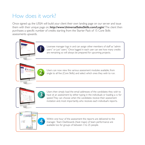## How does it work?

Once signed up, the USSA will build your client their own landing page on our server and issue them with their unique page on, **http://www.UniversalSalesSkills.com/Login/**.The client then purchases a specific number of credits starting from the Starter Pack of 15 Core Skills assessments upwards.











Within one hour of the assessment the reports are delivered to the manager. Team Dashboards (heat maps) of team performance are available too for groups of between 3 to 25 people.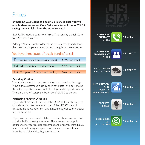### Prices

**By helping your client to become a licensee user you will enable them to access Core Skills sets for as little as £29.93, saving them £19.82 from the standard rate!**

Each USSA module equals one "credit", so running the full Core Skills Set uses 5 credits.

Adding a "Team Dashboard" costs an extra 5 credits and allows the client to compare a team's group strengths and weaknesses.

### You have three levels of 'credit bundles' to sell:

| <b>TI</b> 50 Core Skills Sets (250 credits)      | £7.90 per credit |
|--------------------------------------------------|------------------|
| <b>T2</b> 51 to 250 (255-1,250 credits)          | £7.25 per credit |
| $\overline{13}$ 251 plus (1,255 or more credits) | £6.65 per credit |

#### **Branding Option**

Your client can opt to personalise the assessment landing pages (where the assessment is sat by each candidate) and personalise the actual reports received with their logo and corporate colours. There is a one-off setup and build fee of £1,750 to do this.

#### **Marketing Partner Discount**

If your client markets their use of the USSA to their clients (logo on website and literature as a "User of the USSA") we will discount the above rates by 10%. Discount applies to the credits not the setup fee.

Topup and payments can be taken over the phone, access is fast and simple. Full training is included.There are no geographic boundaries to your reseller agreement and once you introduce a new client, with a signed agreement, you can continue to earn from their activity whilst they remain active.

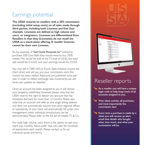## Earnings potential

**The USSA rewards its resellers with a 20% commission (excluding initial setup costs) on all sales made through third parties, including both Licensee and End User channels. Licensees are defined as high volume end users, or integrators. Licensees are differentiated from Resellers in that they (Licensees) do not resell the USSA as a stand-alone offering. A reseller however, cannot be their own Licensee.**

So, for example, if *"Call Centre Personnel, Inc"* wished to purchase 500 Core Skills they would need to buy 2500 credits. This would be sold at the  $T3$  level of  $f6.65$ , the total sale would be  $£16,625$  and your earnings would be  $£3,325$ .

You may sell in GBP, USD, or Euros. Sales Initiative invoice the client direct and will pay you your commission once the invoice has been settled. Ratecards are published twice per year in order to reflect exchange rate movements, we will email you updates as released.

Once an account has been assigned to you it will remain your property indefinitely. However, please note that the USSA reserve the right to detach any account that has remained dormant for more than 12 months. Please also note that an 'account' will refer to one single billing address and does not automatically assume that other regional offices or subsidiaries of your client will automatically fall under your management unless individual introductions can be demonstrated. Please refer to the full set of resellerT's & C's.

For really high volume users there is the option to opt your client into monthly 'band width' that will cater for hundreds of assessments each month. Please contact us for an individual quote and terms.





### Reseller reports

- **As a reseller you will have a unique login code to help keep track of all accounts assigned to you.**
- **View client activity, all purchases, and most importantly the commission due!**
- **Every time a purchase is made by a client you will receive an alert email that details who bought what, how much, and what your commission will be.**